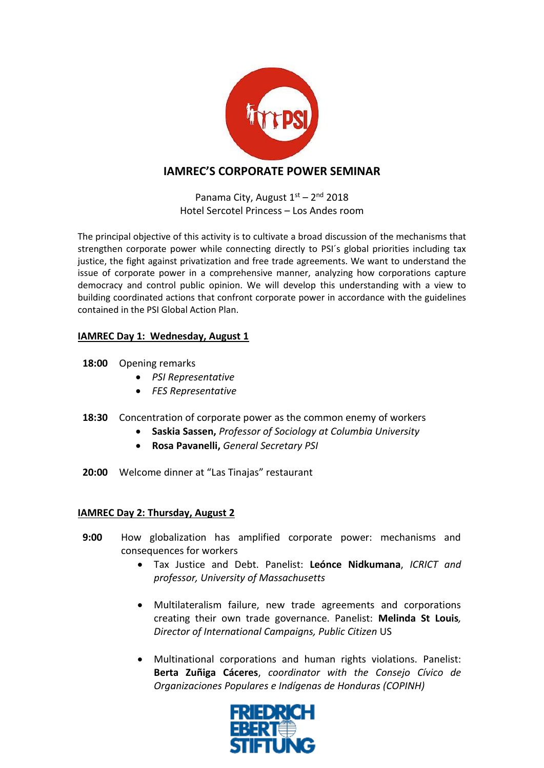

## **IAMREC'S CORPORATE POWER SEMINAR**

Panama City, August  $1<sup>st</sup> - 2<sup>nd</sup>$  2018 Hotel Sercotel Princess – Los Andes room

The principal objective of this activity is to cultivate a broad discussion of the mechanisms that strengthen corporate power while connecting directly to PSI´s global priorities including tax justice, the fight against privatization and free trade agreements. We want to understand the issue of corporate power in a comprehensive manner, analyzing how corporations capture democracy and control public opinion. We will develop this understanding with a view to building coordinated actions that confront corporate power in accordance with the guidelines contained in the PSI Global Action Plan.

## **IAMREC Day 1: Wednesday, August 1**

- **18:00** Opening remarks
	- *PSI Representative*
	- *FES Representative*
- **18:30** Concentration of corporate power as the common enemy of workers
	- **Saskia Sassen,** *Professor of Sociology at Columbia University*
	- **Rosa Pavanelli,** *General Secretary PSI*
- **20:00** Welcome dinner at "Las Tinajas" restaurant

## **IAMREC Day 2: Thursday, August 2**

- **9:00** How globalization has amplified corporate power: mechanisms and consequences for workers
	- Tax Justice and Debt. Panelist: **Leónce Nidkumana**, *ICRICT and professor, University of Massachusetts*
	- Multilateralism failure, new trade agreements and corporations creating their own trade governance. Panelist: **Melinda St Louis***, Director of International Campaigns, Public Citizen* US
	- Multinational corporations and human rights violations. Panelist: **Berta Zuñiga Cáceres**, *coordinator with the Consejo Cívico de Organizaciones Populares e Indígenas de Honduras (COPINH)*